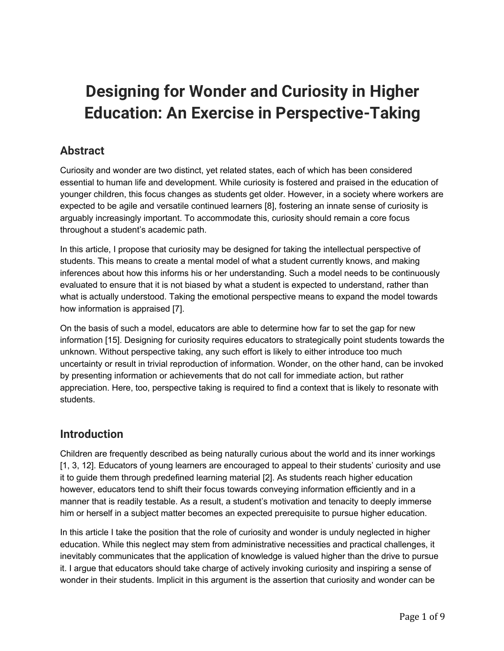# **Designing for Wonder and Curiosity in Higher Education: An Exercise in Perspective-Taking**

## **Abstract**

Curiosity and wonder are two distinct, yet related states, each of which has been considered essential to human life and development. While curiosity is fostered and praised in the education of younger children, this focus changes as students get older. However, in a society where workers are expected to be agile and versatile continued learners [8], fostering an innate sense of curiosity is arguably increasingly important. To accommodate this, curiosity should remain a core focus throughout a student's academic path.

In this article, I propose that curiosity may be designed for taking the intellectual perspective of students. This means to create a mental model of what a student currently knows, and making inferences about how this informs his or her understanding. Such a model needs to be continuously evaluated to ensure that it is not biased by what a student is expected to understand, rather than what is actually understood. Taking the emotional perspective means to expand the model towards how information is appraised [7].

On the basis of such a model, educators are able to determine how far to set the gap for new information [15]. Designing for curiosity requires educators to strategically point students towards the unknown. Without perspective taking, any such effort is likely to either introduce too much uncertainty or result in trivial reproduction of information. Wonder, on the other hand, can be invoked by presenting information or achievements that do not call for immediate action, but rather appreciation. Here, too, perspective taking is required to find a context that is likely to resonate with students.

#### **Introduction**

Children are frequently described as being naturally curious about the world and its inner workings [1, 3, 12]. Educators of young learners are encouraged to appeal to their students' curiosity and use it to guide them through predefined learning material [2]. As students reach higher education however, educators tend to shift their focus towards conveying information efficiently and in a manner that is readily testable. As a result, a student's motivation and tenacity to deeply immerse him or herself in a subject matter becomes an expected prerequisite to pursue higher education.

In this article I take the position that the role of curiosity and wonder is unduly neglected in higher education. While this neglect may stem from administrative necessities and practical challenges, it inevitably communicates that the application of knowledge is valued higher than the drive to pursue it. I argue that educators should take charge of actively invoking curiosity and inspiring a sense of wonder in their students. Implicit in this argument is the assertion that curiosity and wonder can be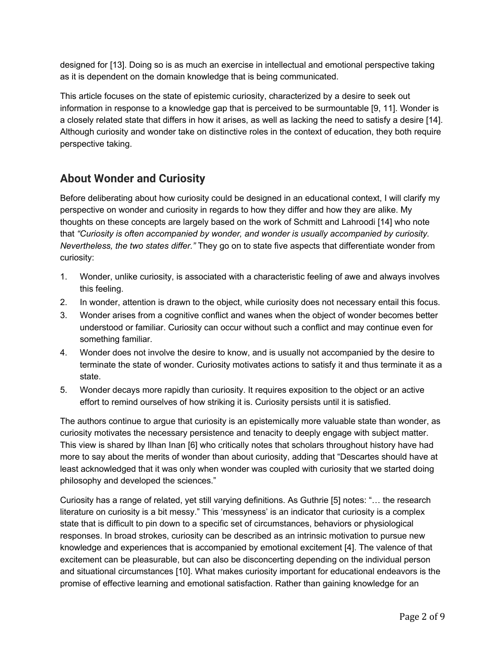designed for [13]. Doing so is as much an exercise in intellectual and emotional perspective taking as it is dependent on the domain knowledge that is being communicated.

This article focuses on the state of epistemic curiosity, characterized by a desire to seek out information in response to a knowledge gap that is perceived to be surmountable [9, 11]. Wonder is a closely related state that differs in how it arises, as well as lacking the need to satisfy a desire [14]. Although curiosity and wonder take on distinctive roles in the context of education, they both require perspective taking.

## **About Wonder and Curiosity**

Before deliberating about how curiosity could be designed in an educational context, I will clarify my perspective on wonder and curiosity in regards to how they differ and how they are alike. My thoughts on these concepts are largely based on the work of Schmitt and Lahroodi [14] who note that *"Curiosity is often accompanied by wonder, and wonder is usually accompanied by curiosity. Nevertheless, the two states differ."* They go on to state five aspects that differentiate wonder from curiosity:

- 1. Wonder, unlike curiosity, is associated with a characteristic feeling of awe and always involves this feeling.
- 2. In wonder, attention is drawn to the object, while curiosity does not necessary entail this focus.
- 3. Wonder arises from a cognitive conflict and wanes when the object of wonder becomes better understood or familiar. Curiosity can occur without such a conflict and may continue even for something familiar.
- 4. Wonder does not involve the desire to know, and is usually not accompanied by the desire to terminate the state of wonder. Curiosity motivates actions to satisfy it and thus terminate it as a state.
- 5. Wonder decays more rapidly than curiosity. It requires exposition to the object or an active effort to remind ourselves of how striking it is. Curiosity persists until it is satisfied.

The authors continue to argue that curiosity is an epistemically more valuable state than wonder, as curiosity motivates the necessary persistence and tenacity to deeply engage with subject matter. This view is shared by Ilhan Inan [6] who critically notes that scholars throughout history have had more to say about the merits of wonder than about curiosity, adding that "Descartes should have at least acknowledged that it was only when wonder was coupled with curiosity that we started doing philosophy and developed the sciences."

Curiosity has a range of related, yet still varying definitions. As Guthrie [5] notes: "… the research literature on curiosity is a bit messy." This 'messyness' is an indicator that curiosity is a complex state that is difficult to pin down to a specific set of circumstances, behaviors or physiological responses. In broad strokes, curiosity can be described as an intrinsic motivation to pursue new knowledge and experiences that is accompanied by emotional excitement [4]. The valence of that excitement can be pleasurable, but can also be disconcerting depending on the individual person and situational circumstances [10]. What makes curiosity important for educational endeavors is the promise of effective learning and emotional satisfaction. Rather than gaining knowledge for an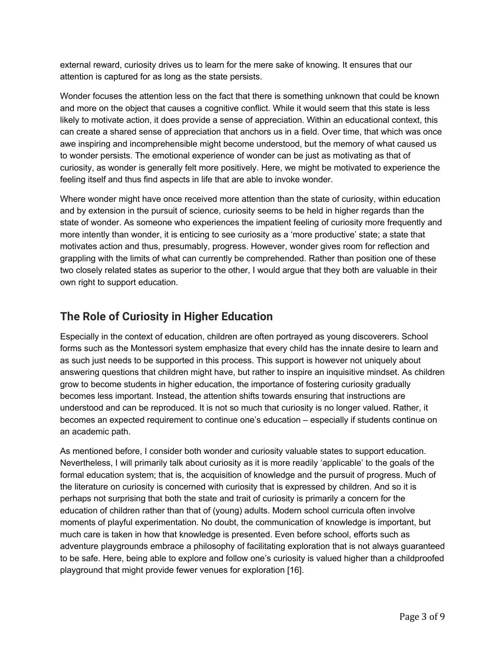external reward, curiosity drives us to learn for the mere sake of knowing. It ensures that our attention is captured for as long as the state persists.

Wonder focuses the attention less on the fact that there is something unknown that could be known and more on the object that causes a cognitive conflict. While it would seem that this state is less likely to motivate action, it does provide a sense of appreciation. Within an educational context, this can create a shared sense of appreciation that anchors us in a field. Over time, that which was once awe inspiring and incomprehensible might become understood, but the memory of what caused us to wonder persists. The emotional experience of wonder can be just as motivating as that of curiosity, as wonder is generally felt more positively. Here, we might be motivated to experience the feeling itself and thus find aspects in life that are able to invoke wonder.

Where wonder might have once received more attention than the state of curiosity, within education and by extension in the pursuit of science, curiosity seems to be held in higher regards than the state of wonder. As someone who experiences the impatient feeling of curiosity more frequently and more intently than wonder, it is enticing to see curiosity as a 'more productive' state; a state that motivates action and thus, presumably, progress. However, wonder gives room for reflection and grappling with the limits of what can currently be comprehended. Rather than position one of these two closely related states as superior to the other, I would argue that they both are valuable in their own right to support education.

## **The Role of Curiosity in Higher Education**

Especially in the context of education, children are often portrayed as young discoverers. School forms such as the Montessori system emphasize that every child has the innate desire to learn and as such just needs to be supported in this process. This support is however not uniquely about answering questions that children might have, but rather to inspire an inquisitive mindset. As children grow to become students in higher education, the importance of fostering curiosity gradually becomes less important. Instead, the attention shifts towards ensuring that instructions are understood and can be reproduced. It is not so much that curiosity is no longer valued. Rather, it becomes an expected requirement to continue one's education – especially if students continue on an academic path.

As mentioned before, I consider both wonder and curiosity valuable states to support education. Nevertheless, I will primarily talk about curiosity as it is more readily 'applicable' to the goals of the formal education system; that is, the acquisition of knowledge and the pursuit of progress. Much of the literature on curiosity is concerned with curiosity that is expressed by children. And so it is perhaps not surprising that both the state and trait of curiosity is primarily a concern for the education of children rather than that of (young) adults. Modern school curricula often involve moments of playful experimentation. No doubt, the communication of knowledge is important, but much care is taken in how that knowledge is presented. Even before school, efforts such as adventure playgrounds embrace a philosophy of facilitating exploration that is not always guaranteed to be safe. Here, being able to explore and follow one's curiosity is valued higher than a childproofed playground that might provide fewer venues for exploration [16].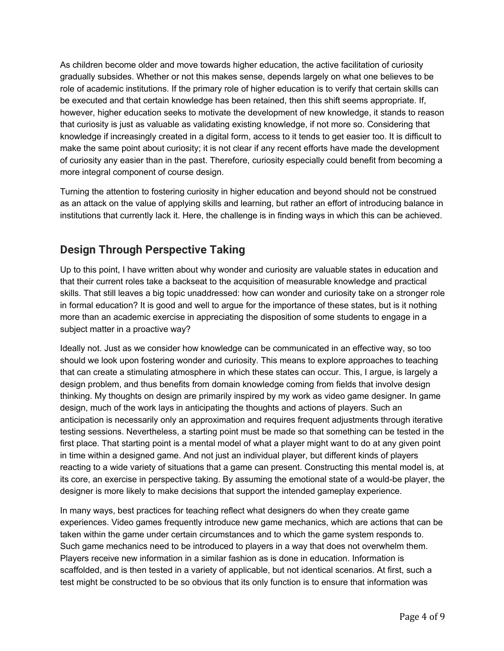As children become older and move towards higher education, the active facilitation of curiosity gradually subsides. Whether or not this makes sense, depends largely on what one believes to be role of academic institutions. If the primary role of higher education is to verify that certain skills can be executed and that certain knowledge has been retained, then this shift seems appropriate. If, however, higher education seeks to motivate the development of new knowledge, it stands to reason that curiosity is just as valuable as validating existing knowledge, if not more so. Considering that knowledge if increasingly created in a digital form, access to it tends to get easier too. It is difficult to make the same point about curiosity; it is not clear if any recent efforts have made the development of curiosity any easier than in the past. Therefore, curiosity especially could benefit from becoming a more integral component of course design.

Turning the attention to fostering curiosity in higher education and beyond should not be construed as an attack on the value of applying skills and learning, but rather an effort of introducing balance in institutions that currently lack it. Here, the challenge is in finding ways in which this can be achieved.

# **Design Through Perspective Taking**

Up to this point, I have written about why wonder and curiosity are valuable states in education and that their current roles take a backseat to the acquisition of measurable knowledge and practical skills. That still leaves a big topic unaddressed: how can wonder and curiosity take on a stronger role in formal education? It is good and well to argue for the importance of these states, but is it nothing more than an academic exercise in appreciating the disposition of some students to engage in a subject matter in a proactive way?

Ideally not. Just as we consider how knowledge can be communicated in an effective way, so too should we look upon fostering wonder and curiosity. This means to explore approaches to teaching that can create a stimulating atmosphere in which these states can occur. This, I argue, is largely a design problem, and thus benefits from domain knowledge coming from fields that involve design thinking. My thoughts on design are primarily inspired by my work as video game designer. In game design, much of the work lays in anticipating the thoughts and actions of players. Such an anticipation is necessarily only an approximation and requires frequent adjustments through iterative testing sessions. Nevertheless, a starting point must be made so that something can be tested in the first place. That starting point is a mental model of what a player might want to do at any given point in time within a designed game. And not just an individual player, but different kinds of players reacting to a wide variety of situations that a game can present. Constructing this mental model is, at its core, an exercise in perspective taking. By assuming the emotional state of a would-be player, the designer is more likely to make decisions that support the intended gameplay experience.

In many ways, best practices for teaching reflect what designers do when they create game experiences. Video games frequently introduce new game mechanics, which are actions that can be taken within the game under certain circumstances and to which the game system responds to. Such game mechanics need to be introduced to players in a way that does not overwhelm them. Players receive new information in a similar fashion as is done in education. Information is scaffolded, and is then tested in a variety of applicable, but not identical scenarios. At first, such a test might be constructed to be so obvious that its only function is to ensure that information was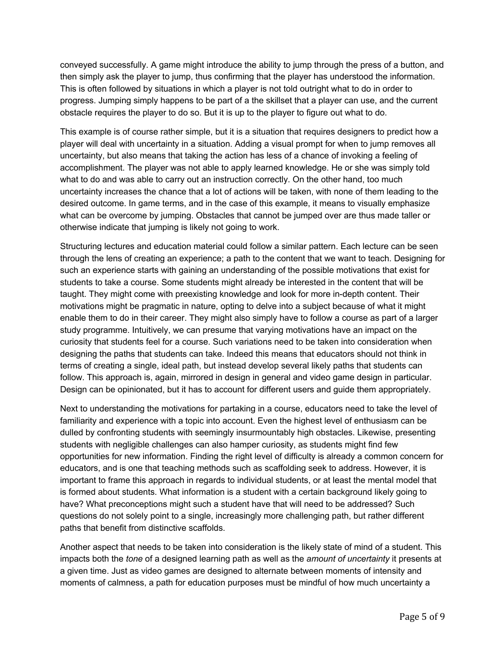conveyed successfully. A game might introduce the ability to jump through the press of a button, and then simply ask the player to jump, thus confirming that the player has understood the information. This is often followed by situations in which a player is not told outright what to do in order to progress. Jumping simply happens to be part of a the skillset that a player can use, and the current obstacle requires the player to do so. But it is up to the player to figure out what to do.

This example is of course rather simple, but it is a situation that requires designers to predict how a player will deal with uncertainty in a situation. Adding a visual prompt for when to jump removes all uncertainty, but also means that taking the action has less of a chance of invoking a feeling of accomplishment. The player was not able to apply learned knowledge. He or she was simply told what to do and was able to carry out an instruction correctly. On the other hand, too much uncertainty increases the chance that a lot of actions will be taken, with none of them leading to the desired outcome. In game terms, and in the case of this example, it means to visually emphasize what can be overcome by jumping. Obstacles that cannot be jumped over are thus made taller or otherwise indicate that jumping is likely not going to work.

Structuring lectures and education material could follow a similar pattern. Each lecture can be seen through the lens of creating an experience; a path to the content that we want to teach. Designing for such an experience starts with gaining an understanding of the possible motivations that exist for students to take a course. Some students might already be interested in the content that will be taught. They might come with preexisting knowledge and look for more in-depth content. Their motivations might be pragmatic in nature, opting to delve into a subject because of what it might enable them to do in their career. They might also simply have to follow a course as part of a larger study programme. Intuitively, we can presume that varying motivations have an impact on the curiosity that students feel for a course. Such variations need to be taken into consideration when designing the paths that students can take. Indeed this means that educators should not think in terms of creating a single, ideal path, but instead develop several likely paths that students can follow. This approach is, again, mirrored in design in general and video game design in particular. Design can be opinionated, but it has to account for different users and guide them appropriately.

Next to understanding the motivations for partaking in a course, educators need to take the level of familiarity and experience with a topic into account. Even the highest level of enthusiasm can be dulled by confronting students with seemingly insurmountably high obstacles. Likewise, presenting students with negligible challenges can also hamper curiosity, as students might find few opportunities for new information. Finding the right level of difficulty is already a common concern for educators, and is one that teaching methods such as scaffolding seek to address. However, it is important to frame this approach in regards to individual students, or at least the mental model that is formed about students. What information is a student with a certain background likely going to have? What preconceptions might such a student have that will need to be addressed? Such questions do not solely point to a single, increasingly more challenging path, but rather different paths that benefit from distinctive scaffolds.

Another aspect that needs to be taken into consideration is the likely state of mind of a student. This impacts both the *tone* of a designed learning path as well as the *amount of uncertainty* it presents at a given time. Just as video games are designed to alternate between moments of intensity and moments of calmness, a path for education purposes must be mindful of how much uncertainty a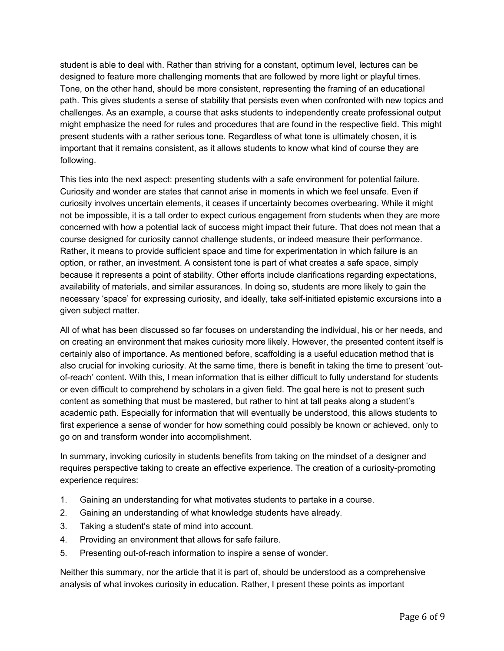student is able to deal with. Rather than striving for a constant, optimum level, lectures can be designed to feature more challenging moments that are followed by more light or playful times. Tone, on the other hand, should be more consistent, representing the framing of an educational path. This gives students a sense of stability that persists even when confronted with new topics and challenges. As an example, a course that asks students to independently create professional output might emphasize the need for rules and procedures that are found in the respective field. This might present students with a rather serious tone. Regardless of what tone is ultimately chosen, it is important that it remains consistent, as it allows students to know what kind of course they are following.

This ties into the next aspect: presenting students with a safe environment for potential failure. Curiosity and wonder are states that cannot arise in moments in which we feel unsafe. Even if curiosity involves uncertain elements, it ceases if uncertainty becomes overbearing. While it might not be impossible, it is a tall order to expect curious engagement from students when they are more concerned with how a potential lack of success might impact their future. That does not mean that a course designed for curiosity cannot challenge students, or indeed measure their performance. Rather, it means to provide sufficient space and time for experimentation in which failure is an option, or rather, an investment. A consistent tone is part of what creates a safe space, simply because it represents a point of stability. Other efforts include clarifications regarding expectations, availability of materials, and similar assurances. In doing so, students are more likely to gain the necessary 'space' for expressing curiosity, and ideally, take self-initiated epistemic excursions into a given subject matter.

All of what has been discussed so far focuses on understanding the individual, his or her needs, and on creating an environment that makes curiosity more likely. However, the presented content itself is certainly also of importance. As mentioned before, scaffolding is a useful education method that is also crucial for invoking curiosity. At the same time, there is benefit in taking the time to present 'outof-reach' content. With this, I mean information that is either difficult to fully understand for students or even difficult to comprehend by scholars in a given field. The goal here is not to present such content as something that must be mastered, but rather to hint at tall peaks along a student's academic path. Especially for information that will eventually be understood, this allows students to first experience a sense of wonder for how something could possibly be known or achieved, only to go on and transform wonder into accomplishment.

In summary, invoking curiosity in students benefits from taking on the mindset of a designer and requires perspective taking to create an effective experience. The creation of a curiosity-promoting experience requires:

- 1. Gaining an understanding for what motivates students to partake in a course.
- 2. Gaining an understanding of what knowledge students have already.
- 3. Taking a student's state of mind into account.
- 4. Providing an environment that allows for safe failure.
- 5. Presenting out-of-reach information to inspire a sense of wonder.

Neither this summary, nor the article that it is part of, should be understood as a comprehensive analysis of what invokes curiosity in education. Rather, I present these points as important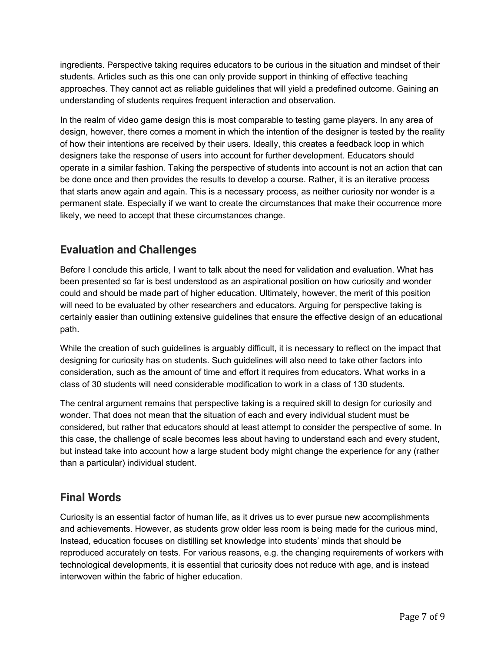ingredients. Perspective taking requires educators to be curious in the situation and mindset of their students. Articles such as this one can only provide support in thinking of effective teaching approaches. They cannot act as reliable guidelines that will yield a predefined outcome. Gaining an understanding of students requires frequent interaction and observation.

In the realm of video game design this is most comparable to testing game players. In any area of design, however, there comes a moment in which the intention of the designer is tested by the reality of how their intentions are received by their users. Ideally, this creates a feedback loop in which designers take the response of users into account for further development. Educators should operate in a similar fashion. Taking the perspective of students into account is not an action that can be done once and then provides the results to develop a course. Rather, it is an iterative process that starts anew again and again. This is a necessary process, as neither curiosity nor wonder is a permanent state. Especially if we want to create the circumstances that make their occurrence more likely, we need to accept that these circumstances change.

# **Evaluation and Challenges**

Before I conclude this article, I want to talk about the need for validation and evaluation. What has been presented so far is best understood as an aspirational position on how curiosity and wonder could and should be made part of higher education. Ultimately, however, the merit of this position will need to be evaluated by other researchers and educators. Arguing for perspective taking is certainly easier than outlining extensive guidelines that ensure the effective design of an educational path.

While the creation of such guidelines is arguably difficult, it is necessary to reflect on the impact that designing for curiosity has on students. Such guidelines will also need to take other factors into consideration, such as the amount of time and effort it requires from educators. What works in a class of 30 students will need considerable modification to work in a class of 130 students.

The central argument remains that perspective taking is a required skill to design for curiosity and wonder. That does not mean that the situation of each and every individual student must be considered, but rather that educators should at least attempt to consider the perspective of some. In this case, the challenge of scale becomes less about having to understand each and every student, but instead take into account how a large student body might change the experience for any (rather than a particular) individual student.

#### **Final Words**

Curiosity is an essential factor of human life, as it drives us to ever pursue new accomplishments and achievements. However, as students grow older less room is being made for the curious mind, Instead, education focuses on distilling set knowledge into students' minds that should be reproduced accurately on tests. For various reasons, e.g. the changing requirements of workers with technological developments, it is essential that curiosity does not reduce with age, and is instead interwoven within the fabric of higher education.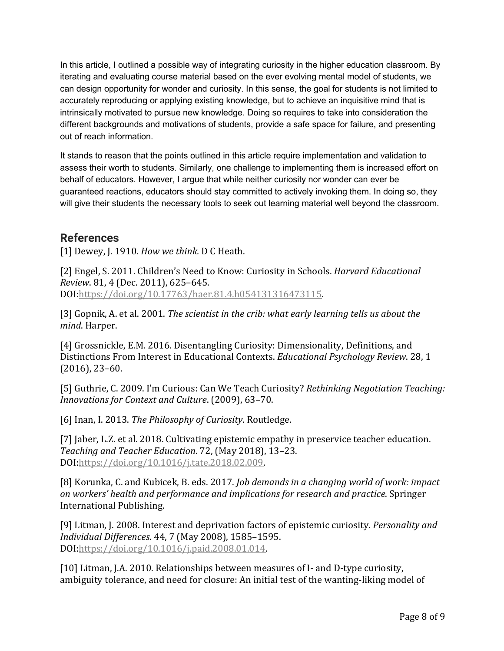In this article, I outlined a possible way of integrating curiosity in the higher education classroom. By iterating and evaluating course material based on the ever evolving mental model of students, we can design opportunity for wonder and curiosity. In this sense, the goal for students is not limited to accurately reproducing or applying existing knowledge, but to achieve an inquisitive mind that is intrinsically motivated to pursue new knowledge. Doing so requires to take into consideration the different backgrounds and motivations of students, provide a safe space for failure, and presenting out of reach information.

It stands to reason that the points outlined in this article require implementation and validation to assess their worth to students. Similarly, one challenge to implementing them is increased effort on behalf of educators. However, I argue that while neither curiosity nor wonder can ever be guaranteed reactions, educators should stay committed to actively invoking them. In doing so, they will give their students the necessary tools to seek out learning material well beyond the classroom.

#### **References**

[1] Dewey, J. 1910. *How we think*. D C Heath.

[2] Engel, S. 2011. Children's Need to Know: Curiosity in Schools. *Harvard Educational Review.* 81, 4 (Dec. 2011), 625-645. DOI:https://doi.org/10.17763/haer.81.4.h054131316473115.

[3] Gopnik, A. et al. 2001. *The scientist in the crib: what early learning tells us about the mind*. Harper.

[4] Grossnickle, E.M. 2016. Disentangling Curiosity: Dimensionality, Definitions, and Distinctions From Interest in Educational Contexts. *Educational Psychology Review*. 28, 1  $(2016)$ , 23-60.

[5] Guthrie, C. 2009. I'm Curious: Can We Teach Curiosity? *Rethinking Negotiation Teaching: Innovations for Context and Culture.* (2009), 63-70.

[6] Inan, I. 2013. *The Philosophy of Curiosity*. Routledge.

[7] Jaber, L.Z. et al. 2018. Cultivating epistemic empathy in preservice teacher education. *Teaching and Teacher Education*. 72, (May 2018), 13–23. DOI:https://doi.org/10.1016/j.tate.2018.02.009.

[8] Korunka, C. and Kubicek, B. eds. 2017. *Job demands in a changing world of work: impact* on workers' health and performance and *implications* for research and practice. Springer International Publishing.

[9] Litman, J. 2008. Interest and deprivation factors of epistemic curiosity. *Personality and Individual Differences*. 44, 7 (May 2008), 1585–1595. DOI:https://doi.org/10.1016/j.paid.2008.01.014.

[10] Litman, J.A. 2010. Relationships between measures of I- and D-type curiosity, ambiguity tolerance, and need for closure: An initial test of the wanting-liking model of